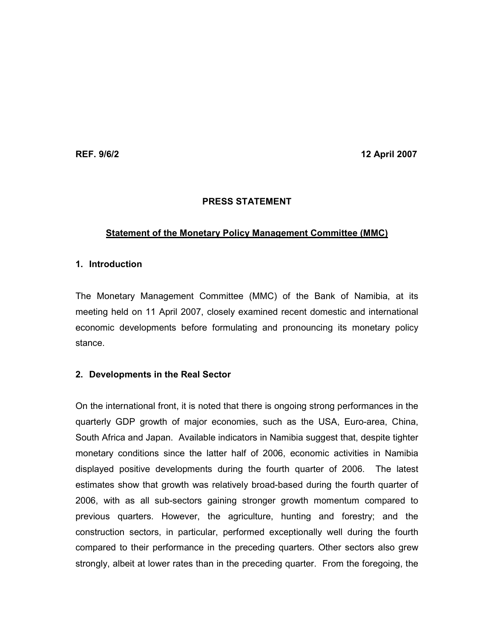REF. 9/6/2 12 April 2007

# PRESS STATEMENT

# Statement of the Monetary Policy Management Committee (MMC)

## 1. Introduction

The Monetary Management Committee (MMC) of the Bank of Namibia, at its meeting held on 11 April 2007, closely examined recent domestic and international economic developments before formulating and pronouncing its monetary policy stance.

## 2. Developments in the Real Sector

On the international front, it is noted that there is ongoing strong performances in the quarterly GDP growth of major economies, such as the USA, Euro-area, China, South Africa and Japan. Available indicators in Namibia suggest that, despite tighter monetary conditions since the latter half of 2006, economic activities in Namibia displayed positive developments during the fourth quarter of 2006. The latest estimates show that growth was relatively broad-based during the fourth quarter of 2006, with as all sub-sectors gaining stronger growth momentum compared to previous quarters. However, the agriculture, hunting and forestry; and the construction sectors, in particular, performed exceptionally well during the fourth compared to their performance in the preceding quarters. Other sectors also grew strongly, albeit at lower rates than in the preceding quarter. From the foregoing, the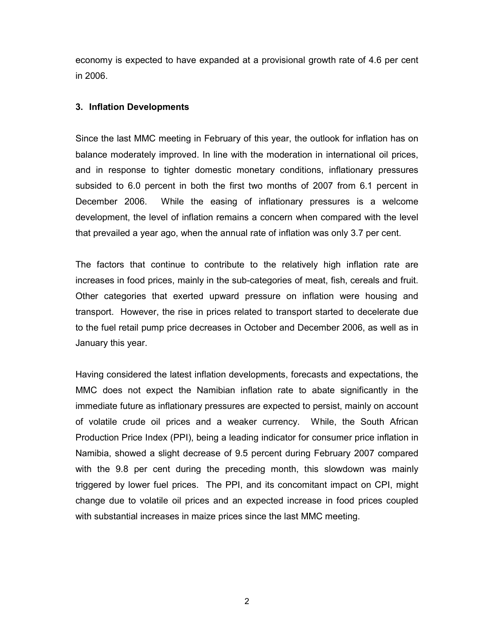economy is expected to have expanded at a provisional growth rate of 4.6 per cent in 2006.

#### 3. Inflation Developments

Since the last MMC meeting in February of this year, the outlook for inflation has on balance moderately improved. In line with the moderation in international oil prices, and in response to tighter domestic monetary conditions, inflationary pressures subsided to 6.0 percent in both the first two months of 2007 from 6.1 percent in December 2006. While the easing of inflationary pressures is a welcome development, the level of inflation remains a concern when compared with the level that prevailed a year ago, when the annual rate of inflation was only 3.7 per cent.

The factors that continue to contribute to the relatively high inflation rate are increases in food prices, mainly in the sub-categories of meat, fish, cereals and fruit. Other categories that exerted upward pressure on inflation were housing and transport. However, the rise in prices related to transport started to decelerate due to the fuel retail pump price decreases in October and December 2006, as well as in January this year.

Having considered the latest inflation developments, forecasts and expectations, the MMC does not expect the Namibian inflation rate to abate significantly in the immediate future as inflationary pressures are expected to persist, mainly on account of volatile crude oil prices and a weaker currency. While, the South African Production Price Index (PPI), being a leading indicator for consumer price inflation in Namibia, showed a slight decrease of 9.5 percent during February 2007 compared with the 9.8 per cent during the preceding month, this slowdown was mainly triggered by lower fuel prices. The PPI, and its concomitant impact on CPI, might change due to volatile oil prices and an expected increase in food prices coupled with substantial increases in maize prices since the last MMC meeting.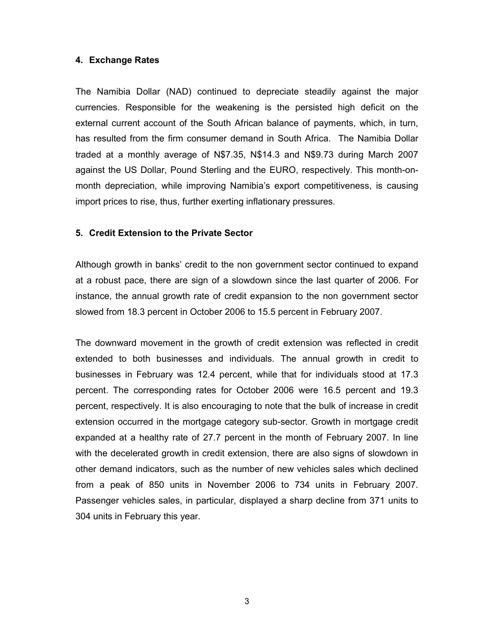#### 4. Exchange Rates

The Namibia Dollar (NAD) continued to depreciate steadily against the major currencies. Responsible for the weakening is the persisted high deficit on the external current account of the South African balance of payments, which, in turn, has resulted from the firm consumer demand in South Africa. The Namibia Dollar traded at a monthly average of N\$7.35, N\$14.3 and N\$9.73 during March 2007 against the US Dollar, Pound Sterling and the EURO, respectively. This month-onmonth depreciation, while improving Namibia's export competitiveness, is causing import prices to rise, thus, further exerting inflationary pressures.

### 5. Credit Extension to the Private Sector

Although growth in banks' credit to the non government sector continued to expand at a robust pace, there are sign of a slowdown since the last quarter of 2006. For instance, the annual growth rate of credit expansion to the non government sector slowed from 18.3 percent in October 2006 to 15.5 percent in February 2007.

The downward movement in the growth of credit extension was reflected in credit extended to both businesses and individuals. The annual growth in credit to businesses in February was 12.4 percent, while that for individuals stood at 17.3 percent. The corresponding rates for October 2006 were 16.5 percent and 19.3 percent, respectively. It is also encouraging to note that the bulk of increase in credit extension occurred in the mortgage category sub-sector. Growth in mortgage credit expanded at a healthy rate of 27.7 percent in the month of February 2007. In line with the decelerated growth in credit extension, there are also signs of slowdown in other demand indicators, such as the number of new vehicles sales which declined from a peak of 850 units in November 2006 to 734 units in February 2007. Passenger vehicles sales, in particular, displayed a sharp decline from 371 units to 304 units in February this year.